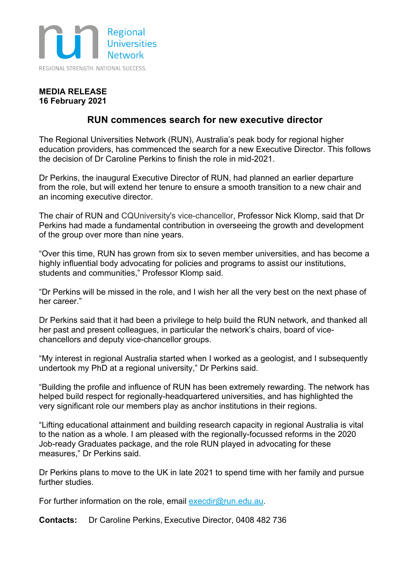

## **MEDIA RELEASE 16 February 2021**

## **RUN commences search for new executive director**

The Regional Universities Network (RUN), Australia's peak body for regional higher education providers, has commenced the search for a new Executive Director. This follows the decision of Dr Caroline Perkins to finish the role in mid-2021.

Dr Perkins, the inaugural Executive Director of RUN, had planned an earlier departure from the role, but will extend her tenure to ensure a smooth transition to a new chair and an incoming executive director.

The chair of RUN and CQUniversity's vice-chancellor, Professor Nick Klomp, said that Dr Perkins had made a fundamental contribution in overseeing the growth and development of the group over more than nine years.

"Over this time, RUN has grown from six to seven member universities, and has become a highly influential body advocating for policies and programs to assist our institutions, students and communities," Professor Klomp said.

"Dr Perkins will be missed in the role, and I wish her all the very best on the next phase of her career."

Dr Perkins said that it had been a privilege to help build the RUN network, and thanked all her past and present colleagues, in particular the network's chairs, board of vicechancellors and deputy vice-chancellor groups.

"My interest in regional Australia started when I worked as a geologist, and I subsequently undertook my PhD at a regional university," Dr Perkins said.

"Building the profile and influence of RUN has been extremely rewarding. The network has helped build respect for regionally-headquartered universities, and has highlighted the very significant role our members play as anchor institutions in their regions.

"Lifting educational attainment and building research capacity in regional Australia is vital to the nation as a whole. I am pleased with the regionally-focussed reforms in the 2020 Job-ready Graduates package, and the role RUN played in advocating for these measures," Dr Perkins said.

Dr Perkins plans to move to the UK in late 2021 to spend time with her family and pursue further studies.

For further information on the role, email execdir@run.edu.au.

**Contacts:** Dr Caroline Perkins, Executive Director, 0408 482 736